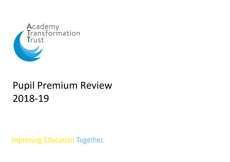

# Pupil Premium Review 2018-19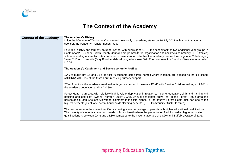

#### **The Context of the Academy**

| Context of the academy | The Academy's History:<br>Mildenhall College (of Technology) converted voluntarily to academy status on 1 <sup>st</sup> July 2013 with a multi-academy<br>sponsor, the Academy Transformation Trust.                                                                                                                                                                                                                                                                                                   |
|------------------------|--------------------------------------------------------------------------------------------------------------------------------------------------------------------------------------------------------------------------------------------------------------------------------------------------------------------------------------------------------------------------------------------------------------------------------------------------------------------------------------------------------|
|                        | Founded in 1976 and formerly an upper school with pupils aged 13-18 the school took on two additional year groups in<br>September 2012 under Suffolk County Council's programme for re-organisation and became a community 11-18 (mixed)<br>school operating across two sites. In order to raise standards further the academy re-structured again in 2014 bringing<br>Years 7-11 on to one site (Bury Road) and developing a bespoke Sixth Form centre at the Sheldrick Way site, now called<br>MCA6. |
|                        | The Academy's Catchment and Socio-economic Profile:                                                                                                                                                                                                                                                                                                                                                                                                                                                    |
|                        | 17% of pupils pre-16 and 11% of post-16 students come from homes where incomes are classed as 'hard-pressed'<br>(ACORN) with 11% of the Sixth Form receiving bursary support.                                                                                                                                                                                                                                                                                                                          |
|                        | 28% of pupils in the academy are disadvantaged and most of these are FSM6 with Service Children making up 2.8% of<br>the academy population and LAC 0.8%                                                                                                                                                                                                                                                                                                                                               |
|                        | Forest Heath is an 'area with relatively high levels of deprivation in relation to income, education, skills and training and<br>housing and services'. (Grant Thornton Study 2008). Annual snapshots show that in the Forest Heath area the<br>percentage of Job Seekers Allowance claimants is the fifth highest in the county. Forest Heath also has one of the<br>highest percentages of lone parent households claiming benefits. (SCC Community Cluster Profiles).                               |
|                        | The catchment area has been identified as having a low percentage of parents with higher educational qualifications.<br>The majority of students come from wards in Forest Heath where the percentage of adults holding higher education<br>qualifications is between 9.4% and 15.3% compared to the national average of 19.2% and Suffolk average of 21%.                                                                                                                                             |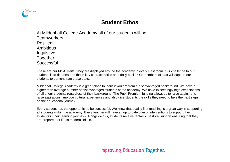

#### **Student Ethos**

At Mildenhall College Academy all of our students will be: **Teamworkers** Resilient Ambitious Inquistive Together **Successful** 

These are our MCA Traits. They are displayed around the academy in every classroom. Our challenge to our students is to demonstrate these key characteristics on a daily basis. Our members of staff will support our students to demonstrate these traits.

Mildenhall College Academy is a great place to learn if you are from a disadvantaged background. We have a higher than average number of disadvantaged students at the academy. We have exceedingly high expectations of all of our students regardless of their background. The Pupil Premium funding allows us to raise attainment, raise aspirations, improve cultural experiences and also give students the skills they need to take the next steps on the educational journey.

Every student has the opportunity to be successful. We know that quality first teaching is a great way in supporting all students within the academy. Every teacher will have an up to date plan of interventions to support their students in their learning journeys. Alongside this, students receive fantastic pastoral support ensuring that they are prepared for life in modern Britain.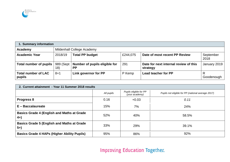

| 1. Summary information               |                  |                                     |          |                                                   |                   |  |  |
|--------------------------------------|------------------|-------------------------------------|----------|---------------------------------------------------|-------------------|--|--|
| Academy                              |                  | Mildenhall College Academy          |          |                                                   |                   |  |  |
| <b>Academic Year</b>                 | 2018/19          | <b>Total PP budget</b>              | £244,075 | Date of most recent PP Review                     | September<br>2018 |  |  |
| Total number of pupils               | 989 (Sept<br>18) | Number of pupils eligible for<br>РP | 291      | Date for next internal review of this<br>strategy | January 2019      |  |  |
| <b>Total number of LAC</b><br>pupils | $8 + 1$          | Link governor for PP                | P Kemp   | <b>Lead teacher for PP</b>                        | Goodenough        |  |  |

| 2. Current attainment - Year 11 Summer 2018 results         |            |                                          |                                                    |  |  |  |  |
|-------------------------------------------------------------|------------|------------------------------------------|----------------------------------------------------|--|--|--|--|
|                                                             | All pupils | Pupils eligible for PP<br>(your academy) | Pupils not eligible for PP (national average 2017) |  |  |  |  |
| <b>Progress 8</b>                                           | 0.16       | $+0.03$                                  | 0.11                                               |  |  |  |  |
| $E -$ Baccalaureate                                         | 15%        | 7%                                       | 24%                                                |  |  |  |  |
| <b>Basics Grade 4 (English and Maths at Grade)</b><br>$4+)$ | 52%        | 40%                                      | 58.5%                                              |  |  |  |  |
| <b>Basics Grade 5 (English and Maths at Grade)</b><br>$5+$  | 33%        | 29%                                      | 39.1%                                              |  |  |  |  |
| <b>Basics Grade 4 HAPs (Higher Ability Pupils)</b>          | 95%        | 86%                                      | 92%                                                |  |  |  |  |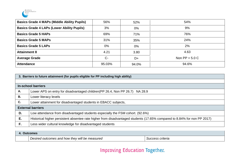

| <b>Basics Grade 4 MAPs (Middle Ability Pupils)</b> | 56%    | 52%   | 54%              |
|----------------------------------------------------|--------|-------|------------------|
| <b>Basics Grade 4 LAPs (Lower Ability Pupils)</b>  | 3%     | $0\%$ | 9%               |
| <b>Basics Grade 5 HAPs</b>                         | 69%    | 71%   | 76%              |
| <b>Basics Grade 5 MAPs</b>                         | 31%    | 35%   | 24%              |
| <b>Basics Grade 5 LAPs</b>                         | $0\%$  | $0\%$ | 2%               |
| <b>Attainment 8</b>                                | 4.21   | 3.80  | 4.63             |
| <b>Average Grade</b>                               | $C -$  | D+    | Non $PP = 5.0 C$ |
| <b>Attendance</b>                                  | 95.03% | 94.0% | 94.6%            |

|    | 3. Barriers to future attainment (for pupils eligible for PP including high ability)                                     |  |  |  |  |
|----|--------------------------------------------------------------------------------------------------------------------------|--|--|--|--|
|    |                                                                                                                          |  |  |  |  |
|    | <b>In-school barriers</b>                                                                                                |  |  |  |  |
| Α. | Lower APS on entry for disadvantaged children (PP 26.4, Non PP 26.7) NA 28.9                                             |  |  |  |  |
| В. | Lower literacy levels                                                                                                    |  |  |  |  |
| C. | Lower attainment for disadvantaged students in EBACC subjects,                                                           |  |  |  |  |
|    | <b>External barriers</b>                                                                                                 |  |  |  |  |
| D. | Low attendance from disadvantaged students especially the FSM cohort. (92.6%)                                            |  |  |  |  |
| Е. | Historical higher persistent absentee rate higher from disadvantaged students (17.65% compared to 8.84% for non PP 2017) |  |  |  |  |
| F. | Less wider cultural knowledge for disadvantaged students                                                                 |  |  |  |  |

| <b>comes</b><br>11 I t <i>o</i> |                                                     |                        |  |
|---------------------------------|-----------------------------------------------------|------------------------|--|
|                                 | Desired<br>I outcomes and how they will be measured | s criteria<br>OUCCESS. |  |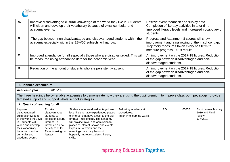

| A.             | Improve disadvantaged cultural knowledge of the world they live in. Students<br>will widen and develop their vocabulary because of extra-curricular and<br>academy events. | Positive event feedback and survey data.<br>Completion of literacy activities in tutor time.<br>Improved literacy levels and increased vocabulary of<br>students.                  |
|----------------|----------------------------------------------------------------------------------------------------------------------------------------------------------------------------|------------------------------------------------------------------------------------------------------------------------------------------------------------------------------------|
| <b>B.</b>      | The gap between non-disadvantaged and disadvantaged students within the<br>academy especially within the EBACC subjects will narrow.                                       | Progress and Attainment 8 scores will show<br>improvement and a narrowing of the in school gap.<br>Trajectory measures taken every half term to<br>measure progress. 2019 results. |
| $\mathbf{C}$ . | Improved attendance for all especially those who are disadvantaged. This will<br>be measured using attendance data for the academic year.                                  | An improvement on the 2017-18 figures. Reduction<br>of the gap between disadvantaged and non-<br>disadvantaged students.                                                           |
| D.             | Reduction of the amount of students who are persistently absent.                                                                                                           | An improvement on the 2017-18 figures. Reduction<br>of the gap between disadvantaged and non-<br>disadvantaged students.                                                           |

|                                                                                                                                                                                                  | 5. Planned expenditure                                                                                                                                 |                                                                                                                                                                                                                                                                                                                                                                      |                                                                     |           |       |                                                                      |
|--------------------------------------------------------------------------------------------------------------------------------------------------------------------------------------------------|--------------------------------------------------------------------------------------------------------------------------------------------------------|----------------------------------------------------------------------------------------------------------------------------------------------------------------------------------------------------------------------------------------------------------------------------------------------------------------------------------------------------------------------|---------------------------------------------------------------------|-----------|-------|----------------------------------------------------------------------|
| Academic year                                                                                                                                                                                    | 2018/19                                                                                                                                                |                                                                                                                                                                                                                                                                                                                                                                      |                                                                     |           |       |                                                                      |
| The three headings below enable academies to demonstrate how they are using the pupil premium to improve classroom pedagogy, provide<br>targeted support and support whole school strategies.    |                                                                                                                                                        |                                                                                                                                                                                                                                                                                                                                                                      |                                                                     |           |       |                                                                      |
| i. Quality of teaching for all                                                                                                                                                                   |                                                                                                                                                        |                                                                                                                                                                                                                                                                                                                                                                      |                                                                     |           |       |                                                                      |
| Improve<br>disadvantaged<br>cultural knowledge<br>of the world they live<br>in. Students will<br>widen and develop<br>their vocabulary<br>because of extra-<br>curricular and<br>academy events. | To take<br>disadvantaged<br>students to<br>places of cultural<br>interest. To<br>introduce a new<br>activity to Tutor<br>Time focusing on<br>literacy. | Students who are disadvantaged are<br>less likely to have experienced places<br>of interest that have a cost to the visit<br>or travel implications. The academy<br>will provide travel and admission to<br>places of interest, shows and events.<br>Exposure to words and their<br>meanings on a daily basis will<br>hopefully improve students literacy<br>skills. | Following academy trip<br>procedures.<br>Tutor time learning walks. | <b>RG</b> | £5000 | Short review January<br>2019 and Final<br>review<br><b>July 2019</b> |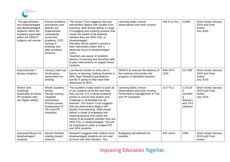

| The gap between<br>non-disadvantaged<br>and disadvantaged<br>students within the<br>academy especially<br>within the EBACC<br>subjects will narrow. | Ensure academy<br>procedures and<br>policies are<br>implemented<br>consistently<br>across the<br>academy. CPD<br>training in<br>briefings and<br>after academy<br>sessions | The Sutton Trust suggests that any<br>intervention begins with Quality First<br>teaching. Staff should deliver a range<br>of engaging and inspiring lessons that<br>meets the needs of all students<br>whether they are SEN, EAL or<br>disadvantaged.<br>Faculties will be asked to produce<br>their intervention plans with a<br>particular focus to disadvantaged<br>LAPs.<br>Teachers are aware of students'<br>barriers to learning and therefore able<br>to plan interventions to support these<br>students.                 | Learning walks, lesson<br>observations and work scrutiny.                                                      | HN/ FLs/ HLs          | £1000                                                               | Short review January<br>2019 and Final<br>review<br><b>July 2019</b> |
|-----------------------------------------------------------------------------------------------------------------------------------------------------|----------------------------------------------------------------------------------------------------------------------------------------------------------------------------|-----------------------------------------------------------------------------------------------------------------------------------------------------------------------------------------------------------------------------------------------------------------------------------------------------------------------------------------------------------------------------------------------------------------------------------------------------------------------------------------------------------------------------------|----------------------------------------------------------------------------------------------------------------|-----------------------|---------------------------------------------------------------------|----------------------------------------------------------------------|
| Improved year 7<br>literacy progress                                                                                                                | Literacy catch up/<br>Small group<br>intervention for<br>reading.                                                                                                          | Low literacy levels on entry are a<br>barrier to learning. Getting students to<br>ARE (Age Related Expectations)<br>quickly is going to help raise their<br>attainment at MCA.                                                                                                                                                                                                                                                                                                                                                    | SENCO to oversee the delivery of<br>the material and monitor the<br>progress of identified students.           | RW/KFI/<br><b>CKR</b> | £17,000                                                             | Short review January<br>2019 and Final<br>review<br><b>July 2019</b> |
| Stretch and<br>challenge<br>(especially for those<br>PP students who<br>are Higher ability)                                                         | Whole academy<br>priority.<br>Faculty training.<br>Targeted<br>intervention.<br>Process praise.<br>Employment of<br>TA's and PP<br>champion.                               | The academy really wants to push all<br>of our students to be the best that<br>they can be. It is a whole academy<br>priority to ensure that stretch and<br>challenge is embedded into all<br>learners. The Sutton Trust suggests<br>that any intervention begins with<br>Quality First teaching. Staff should<br>deliver a range of engaging and<br>inspiring lessons that meets the<br>needs of all students whether they are<br>SEN, EAL or disadvantaged. TAs will<br>be employed in order to support PP<br>and SEN students. | Learning walks, lesson<br>observations and work scrutiny.<br>Performance management of TAs<br>and PP champion. | SLT/FLs               | £170,00<br>0<br>(includin<br>g<br>teachers<br>and TA's<br>salaries) | Short review January<br>2019 and Final<br>review<br><b>July 2019</b> |
| Improved literacy for<br>disadvantaged<br>students.                                                                                                 | Parent/ Student<br>reading reward<br>scheme                                                                                                                                | Research suggests that children from<br>disadvantaged students do not read<br>at home with their families. The                                                                                                                                                                                                                                                                                                                                                                                                                    | Budgeting spreadsheet for<br>rewards.                                                                          | RG/ tutors            | £500                                                                | Short review January<br>2019 and Final<br>review                     |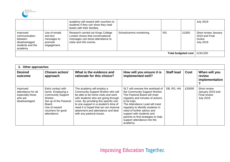

|                                                                                      |                                                                    | academy will reward with vouchers to<br>students if they can show they read<br>books with their families.                           |                         |           |       | <b>July 2019</b>                                                     |
|--------------------------------------------------------------------------------------|--------------------------------------------------------------------|-------------------------------------------------------------------------------------------------------------------------------------|-------------------------|-----------|-------|----------------------------------------------------------------------|
| Improved<br>communication<br>between<br>disadvantaged<br>students and the<br>academy | Use of emails<br>and text<br>messages to<br>promote<br>engagement. | Research carried out Kings College<br>London shows that conversational<br>messages can boost attendance to<br>clubs and IAG events. | Schoolcomms monitoring. | <b>RG</b> | £1000 | Short review January<br>2019 and Final<br>review<br><b>July 2019</b> |
| <b>Total budgeted cost</b>                                                           |                                                                    |                                                                                                                                     |                         |           |       | £194,500                                                             |

| ii. Other approaches                                                            |                                                                                                                                                                        |                                                                                                                                                                                                                                                                                                                                           |                                                                                                                                                                                                                                                                                                                                                                        |                   |        |                                                                      |
|---------------------------------------------------------------------------------|------------------------------------------------------------------------------------------------------------------------------------------------------------------------|-------------------------------------------------------------------------------------------------------------------------------------------------------------------------------------------------------------------------------------------------------------------------------------------------------------------------------------------|------------------------------------------------------------------------------------------------------------------------------------------------------------------------------------------------------------------------------------------------------------------------------------------------------------------------------------------------------------------------|-------------------|--------|----------------------------------------------------------------------|
| <b>Desired</b><br>outcome                                                       | <b>Chosen action/</b><br>approach                                                                                                                                      | What is the evidence and<br>rationale for this choice?                                                                                                                                                                                                                                                                                    | How will you ensure it is<br>implemented well?                                                                                                                                                                                                                                                                                                                         | <b>Staff lead</b> | Cost   | When will you<br>review<br>implementation                            |
| Improved<br>attendance for all<br>especially those<br>who are<br>disadvantaged. | Early contact with<br>home. Employing a<br><b>Community Support</b><br>Worker<br>Set up of the Pastoral<br>Board.<br>Use of reward<br>vouchers for good<br>attendance. | The academy will employ a<br>Community Support Worker who will<br>be able to do home visits and work<br>with students who are going through<br>crisis. By providing this specific one<br>to one support in a student's time of<br>need it is hoped that we can improve<br>attainment and attendance and deal<br>with any pastoral issues. | SLT will oversee the workload of<br>the Community Support Worker.<br>The Pastoral Board will meet<br>regularly and minutes of actions<br>to be kept.<br>The Attendance Lead will meet<br>regularly to identify students in<br>need of further advice and<br>support with students and<br>parents to find strategies to help<br>support attendance into the<br>academy. | DB, RG, HN        | £20000 | Short review<br>January 2019 and<br>Final review<br><b>July 2019</b> |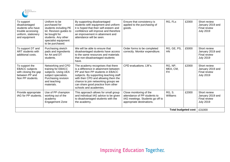

| To support<br>disadvantaged<br>students who have<br>trouble accessing<br>uniform, stationery<br>and equipment | Uniform to be<br>purchased for<br>students including PE<br>kit. Revision guides to<br>be bought for<br>students. Any other<br>specialist equipment<br>to be purchased. | By supporting disadvantaged<br>students with equipment and uniform<br>it is hoped that their self-esteem and<br>confidence will improve and therefore<br>an improvement in attainment and<br>attendance will be seen.                                                                                  | Ensure that consistency is<br>applied to the purchasing of<br>goods.                                                     | RG, FLs                    | £2000 | Short review<br>January 2019 and<br>Final review<br><b>July 2019</b>        |
|---------------------------------------------------------------------------------------------------------------|------------------------------------------------------------------------------------------------------------------------------------------------------------------------|--------------------------------------------------------------------------------------------------------------------------------------------------------------------------------------------------------------------------------------------------------------------------------------------------------|--------------------------------------------------------------------------------------------------------------------------|----------------------------|-------|-----------------------------------------------------------------------------|
| To support DT and<br>ART students with<br>additional costs.                                                   | Purchasing sketch<br>pads and ingredients<br>for Art and DT<br>students.                                                                                               | We will be able to ensure that<br>disadvantaged students have access<br>to the same resources and materials<br>that non-disadvantaged students<br>have.                                                                                                                                                | Order forms to be completed<br>correctly. Monitor expenditure.                                                           | RG, GE, PS,<br>HN          | £5000 | Short review<br>January 2019 and<br><b>Final review</b><br><b>July 2019</b> |
| To support the<br><b>EBACC</b> subjects<br>with closing the gap<br>between PP and<br>Non PP students.         | Networking and CPD<br>training for EBACC<br>subjects. Using UEA<br>subject specialists.<br>Purchasing revision<br>and teaching<br>materials.                           | The academy recognises that there<br>is a difference in attainment between<br>PP and Non PP students in EBACC<br>subjects. By supporting teaching staff<br>with their CPD and allowing them the<br>chance to join networking groups we<br>can share good practice from other<br>schools and academies. | CPD evaluations. LW's.                                                                                                   | RG, NP,<br>MEA, CM,<br>FH  | £2000 | Short review<br>January 2019 and<br><b>Final review</b><br><b>July 2019</b> |
| Provide appropriate<br>IAG for PP students.                                                                   | Use of PP champion<br>working out of the<br>academy<br><b>Engagement Zone</b>                                                                                          | This approach allows for small group<br>and individual IAG advice to be given<br>to disadvantaged students with the<br>the academy.                                                                                                                                                                    | Close monitoring of the<br>attendance of PP students to<br>IAG meetings. Students go off to<br>appropriate destinations. | <b>RG, S.</b><br>Williams  | £2000 | Short review<br>January 2019 and<br><b>Final review</b><br><b>July 2019</b> |
|                                                                                                               |                                                                                                                                                                        |                                                                                                                                                                                                                                                                                                        |                                                                                                                          | <b>Total budgeted cost</b> |       | £31000                                                                      |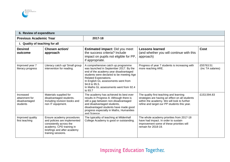| 6. Review of expenditure                                 |                                                                                                                                                                       |                                                                                                                                                                                                                                                                                                         |                                                                                                                                                                                           |                                |  |
|----------------------------------------------------------|-----------------------------------------------------------------------------------------------------------------------------------------------------------------------|---------------------------------------------------------------------------------------------------------------------------------------------------------------------------------------------------------------------------------------------------------------------------------------------------------|-------------------------------------------------------------------------------------------------------------------------------------------------------------------------------------------|--------------------------------|--|
| <b>Previous Academic Year</b>                            |                                                                                                                                                                       | 2017-18                                                                                                                                                                                                                                                                                                 |                                                                                                                                                                                           |                                |  |
| i. Quality of teaching for all                           |                                                                                                                                                                       |                                                                                                                                                                                                                                                                                                         |                                                                                                                                                                                           |                                |  |
| <b>Desired</b><br>outcome                                | Chosen action/<br>approach                                                                                                                                            | <b>Estimated impact: Did you meet</b><br>the success criteria? Include<br>impact on pupils not eligible for PP,<br>if appropriate.                                                                                                                                                                      | <b>Lessons learned</b><br>(and whether you will continue with this<br>approach)                                                                                                           | <b>Cost</b>                    |  |
| Improved year 7<br>literacy progress                     | Literacy catch up/ Small group<br>intervention for reading.                                                                                                           | A comprehensive catch up programme<br>was launched in September 2017. By the<br>end of the academy year disadvantaged<br>students were declared to be meeting Age<br>Related Expectations.<br>In English GL assessments went from<br>94.8 to 95.5.<br>In Maths GL assessments went from 92.4<br>to 93.7 | Progress of year 7 students is increasing with<br>more reaching ARE.                                                                                                                      | £55763.51<br>(inc TA salaries) |  |
| Increased<br>attainment for<br>disadvantaged<br>students | Materials supplied for<br>disadvantaged students.<br>Including revision books and<br>non IT equipment.                                                                | The academy has achieved its best ever<br>results in Progress 8. Although there is<br>still a gap between non-disadvantaged<br>and disadvantaged students,<br>disadvantaged students have made good<br>progress especially in Maths, Humanities<br>and Science.                                         | The quality first teaching and learning<br>strategies are having an effect on all students<br>within the academy. We will look to further<br>refine and target our PP students this year. | £153,594.83                    |  |
| Improved quality<br>first teaching                       | Ensure academy procedures<br>and policies are implemented<br>consistently across the<br>academy. CPD training in<br>briefings and after academy<br>training sessions. | The typicality of teaching at Mildenhall<br>College Academy is good or outstanding.                                                                                                                                                                                                                     | The whole academy priorities from 2017-18<br>have had impact. In order to sustain<br>improvement some of these priorities will<br>remain for 2018-19.                                     |                                |  |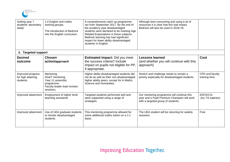

| Getting year 7<br>students 'secondary<br>ready'      | 1:4 English and maths<br>working groups.<br>The introduction of Bedrock<br>into the English curriculum.      | A comprehensive catch up programme<br>ran from September 2017. By the end of<br>the academy year disadvantaged<br>students were declared to be meeting Age<br>Related Expectations in these subjects.<br>Bedrock learning has had significant<br>impact for lower ability disadvantaged<br>students in English. | Although time consuming and using a lot of<br>resources it is clear that this had impact.<br>Bedrock will also be used in 2018-19. |                                   |
|------------------------------------------------------|--------------------------------------------------------------------------------------------------------------|-----------------------------------------------------------------------------------------------------------------------------------------------------------------------------------------------------------------------------------------------------------------------------------------------------------------|------------------------------------------------------------------------------------------------------------------------------------|-----------------------------------|
| ii. Targeted support                                 |                                                                                                              |                                                                                                                                                                                                                                                                                                                 |                                                                                                                                    |                                   |
| <b>Desired</b><br>outcome                            | <b>Chosen</b><br>action/approach                                                                             | <b>Estimated impact: Did you meet</b><br>the success criteria? Include<br>impact on pupils not eligible for PP,<br>if appropriate.                                                                                                                                                                              | <b>Lessons learned</b><br>(and whether you will continue with this<br>approach)                                                    | Cost                              |
| Improved progress<br>for high attaining<br>students. | Mentoring.<br>AG&T mentoring.<br>Year 11 assembly<br>programme.<br>Faculty leader lead revision<br>sessions. | Higher ability disadvantaged students did<br>not do as well as their non-disadvantaged<br>higher ability peers, except for in Maths,<br>Science and Humanities.                                                                                                                                                 | Stretch and challenge needs to remain a<br>priority especially for disadvantaged students.                                         | CPD and faculty<br>training time. |
| Improved attainment                                  | Employment of higher level<br>teaching assistants                                                            | Targeted students performed well and<br>were supported using a range of<br>strategies.                                                                                                                                                                                                                          | Our mentoring programme will continue this<br>year and a Pupil Premium Champion will work<br>with a targeted group of students.    | £55763.51<br>(inc TA salaries)    |
| Improved attainment                                  | Use of UEA graduate students<br>to mentor disadvantaged<br>students.                                         | This mentoring programme allowed for<br>some additional maths tuition on a 1:1<br>basis.                                                                                                                                                                                                                        | The UEA student will be returning for weekly<br>sessions.                                                                          | Free                              |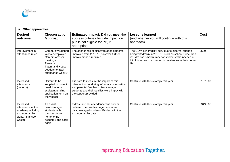

| iii. Other approaches                                                                                  |                                                                                                                                                               |                                                                                                                                                                                                          |                                                                                                                                                                                                                                    |             |  |
|--------------------------------------------------------------------------------------------------------|---------------------------------------------------------------------------------------------------------------------------------------------------------------|----------------------------------------------------------------------------------------------------------------------------------------------------------------------------------------------------------|------------------------------------------------------------------------------------------------------------------------------------------------------------------------------------------------------------------------------------|-------------|--|
| <b>Desired</b><br>outcome                                                                              | <b>Chosen action</b><br>/approach                                                                                                                             | <b>Estimated impact:</b> Did you meet the<br>success criteria? Include impact on<br>pupils not eligible for PP, if<br>appropriate.                                                                       | <b>Lessons learned</b><br>(and whether you will continue with this<br>approach)                                                                                                                                                    | <b>Cost</b> |  |
| Improvement in<br>attendance rates                                                                     | <b>Community Support</b><br>Worker employed.<br>Careers advisor<br>meetings.<br>Rewards.<br><b>Tutors and House</b><br>Leaders to track<br>attendance weekly. | The attendance of disadvantaged students<br>improved from 2015-16 however further<br>improvement is required.                                                                                            | The CSW is incredibly busy due to external support<br>being withdrawn in 2018-19 such as school nurse drop<br>ins. We had small number of students who needed a<br>lot of time due to extreme circumstances in their home<br>life. | £500        |  |
| Increased<br>attendance<br>(uniform)                                                                   | Uniform to be<br>supplied to those in<br>need. Uniform<br>assistant funding<br>application form on<br>the website.                                            | It is hard to measure the impact of this<br>intervention but during informal conversation<br>and parental feedback disadvantaged<br>students and their families were happy with<br>the support provided. | Continue with this strategy this year.                                                                                                                                                                                             | £1379.07    |  |
| Increased<br>attendance at the<br>academy including<br>extra-curricular<br>clubs. (Transport<br>Costs) | To assist<br>disadvantaged<br>students with<br>transport from<br>home to the<br>academy and back<br>again.                                                    | Extra-curricular attendance was similar<br>between the disadvantaged and non-<br>disadvantaged students. Evidence in the<br>extra-curricular data.                                                       | Continue with this strategy this year.                                                                                                                                                                                             | £3493.05    |  |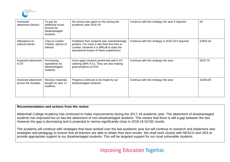

| Increased<br>attainment (Music)              | To pay for<br>additional music<br>lessons for<br>disadvantaged<br>students. | No money was spent on this during the<br>academic year 2018-19                                                                                                                         | Continue with this strategy this year if required.  | £0       |
|----------------------------------------------|-----------------------------------------------------------------------------|----------------------------------------------------------------------------------------------------------------------------------------------------------------------------------------|-----------------------------------------------------|----------|
| Attendance to<br>cultural events.            | Trips to London<br>Theatre, places of<br>interest.                          | Feedback from students was overwhelmingly<br>positive. For many it was their first time to<br>London. However it is difficult to state the<br>educational impact of these experiences. | Continue with this strategy in 2018-19 if required. | £3504.44 |
| Expected attainment<br>in DT                 | Purchasing<br>ingredients for<br>disadvantaged<br>students.                 | Once again students performed well in DT<br>catering (86% A-C). They are also making<br>good progress at KS3.                                                                          | Continue with this strategy this year.              | £870.79  |
| Improved attainment<br>across the faculties. | <b>Revision materials</b><br>bought for year 11<br>students.                | Progress continues to be made by our<br>disadvantaged students.                                                                                                                        | Continue with this strategy this year.              | £3326.00 |

#### **Recommendation and actions from the review**

Mildenhall College Academy has continued to make improvements during the 2017-18 academic year. The attainment of disadvantaged students has improved but so has the attainment of non-disadvantaged students. This means that there is still a gap between the two. However the gap is decreasing and is projected to narrow significantly close in 2018-19 GCSE results.

The academy will continue with strategies that have worked over the last academic year but will continue to research and implement new strategies and pedagogy to ensure that all learners are able to obtain their best results. We shall work closely with NEACO and UEA to provide appropriate support to our disadvantaged students. This will be targeted support for our most vulnerable students.